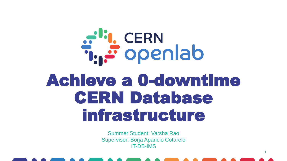# a<sup>d</sup>: CERN<br>T. Sopenlab Achieve a 0-downtime CERN Database infrastructure

Summer Student: Varsha Rao Supervisor: Borja Aparicio Cotarelo IT-DB-IMS

1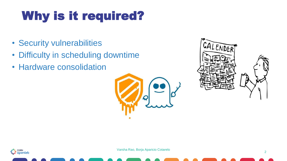### Why is it required?

- Security vulnerabilities
- Difficulty in scheduling downtime
- Hardware consolidation





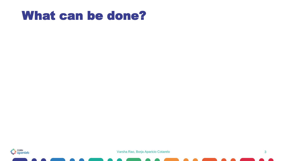### What can be done?

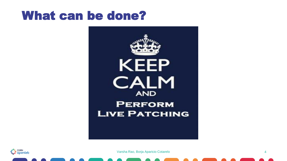### What can be done?



ال<mark>ني</mark> CERN<br>آهيڪ Openlab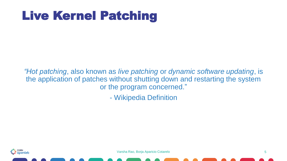### Live Kernel Patching

*"Hot patching*, also known as *live patching* or *dynamic software updating*, is the application of patches without shutting down and restarting the system or the program concerned."

- Wikipedia Definition

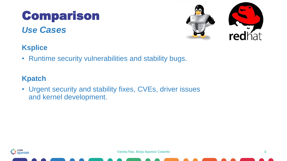### *Use Cases* Comparison





#### **Ksplice**

• Runtime security vulnerabilities and stability bugs.

#### **Kpatch**

• Urgent security and stability fixes, CVEs, driver issues and kernel development.

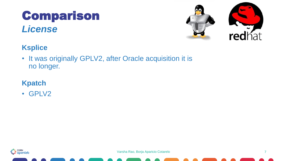### *License* Comparison





#### **Ksplice**

• It was originally GPLV2, after Oracle acquisition it is no longer.

#### **Kpatch**

• GPLV2

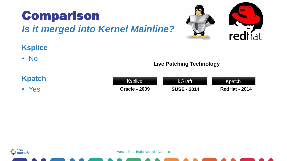



#### **Ksplice**

• No

#### **Kpatch**

• Yes

| Ksplice \            | kGraft             | <b>Kpatch</b>        |
|----------------------|--------------------|----------------------|
| <b>Oracle - 2009</b> | <b>SUSE - 2014</b> | <b>RedHat - 2014</b> |

**Live Patching Technology**

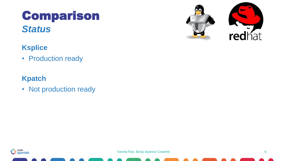### *Status* Comparison





#### **Ksplice**

• Production ready

#### **Kpatch**

• Not production ready

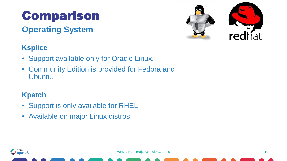### Comparison

#### **Operating System**



#### **Ksplice**

- Support available only for Oracle Linux.
- Community Edition is provided for Fedora and Ubuntu.

#### **Kpatch**

- Support is only available for RHEL.
- Available on major Linux distros.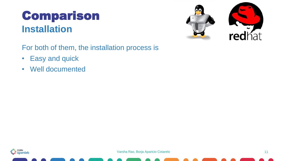### **Installation** Comparison

**red**hat

For both of them, the installation process is

- Easy and quick
- Well documented

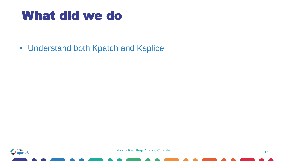### What did we do

• Understand both Kpatch and Ksplice

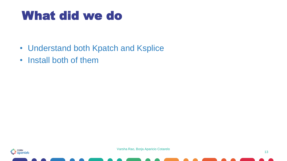### What did we do

- Understand both Kpatch and Ksplice
- Install both of them

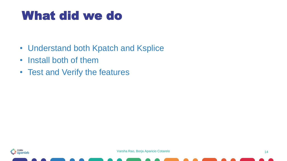### What did we do

- Understand both Kpatch and Ksplice
- Install both of them
- Test and Verify the features

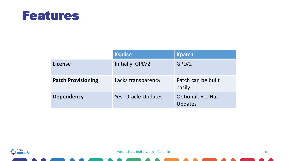

|                           | <b>Ksplice</b>         | <b>Kpatch</b>                |
|---------------------------|------------------------|------------------------------|
| <b>License</b>            | <b>Initially GPLV2</b> | GPLV2                        |
| <b>Patch Provisioning</b> | Lacks transparency     | Patch can be built<br>easily |
| <b>Dependency</b>         | Yes, Oracle Updates    | Optional, RedHat<br>Updates  |

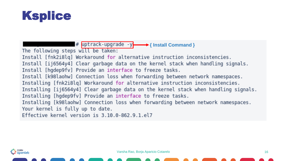

**<del># uptrack-upgrade -y → { Install Command }**</del> The following steps will be taken: Install [fnk2i8lq] Workaround for alternative instruction inconsistencies. Install [ij6564y4] Clear garbage data on the kernel stack when handling signals. Install [hgdep9fv] Provide an interface to freeze tasks. Install [k98laohw] Connection loss when forwarding between network namespaces. Installing [fnk2i8lq] Workaround for alternative instruction inconsistencies. Installing [ij6564y4] Clear garbage data on the kernel stack when handling signals. Installing [hgdep9fv] Provide an interface to freeze tasks. Installing [k98laohw] Connection loss when forwarding between network namespaces. Your kernel is fully up to date. Effective kernel version is 3.10.0-862.9.1.el7

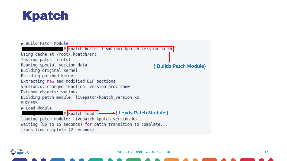



at<mark>i.</mark> CERN<br>T<sub>ia</sub>e openlab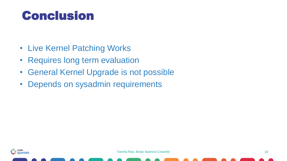### **Conclusion**

- Live Kernel Patching Works
- Requires long term evaluation
- General Kernel Upgrade is not possible
- Depends on sysadmin requirements